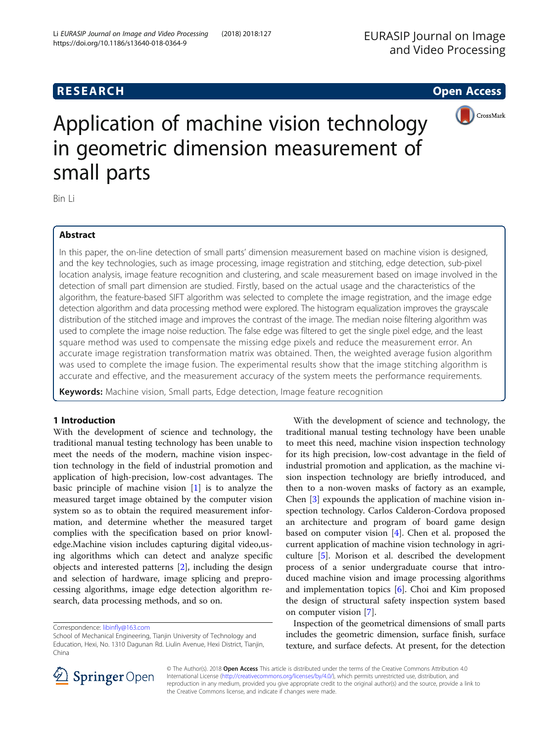# **RESEARCH CHE Open Access**



# Application of machine vision technology in geometric dimension measurement of small parts

Bin Li

# Abstract

In this paper, the on-line detection of small parts' dimension measurement based on machine vision is designed, and the key technologies, such as image processing, image registration and stitching, edge detection, sub-pixel location analysis, image feature recognition and clustering, and scale measurement based on image involved in the detection of small part dimension are studied. Firstly, based on the actual usage and the characteristics of the algorithm, the feature-based SIFT algorithm was selected to complete the image registration, and the image edge detection algorithm and data processing method were explored. The histogram equalization improves the grayscale distribution of the stitched image and improves the contrast of the image. The median noise filtering algorithm was used to complete the image noise reduction. The false edge was filtered to get the single pixel edge, and the least square method was used to compensate the missing edge pixels and reduce the measurement error. An accurate image registration transformation matrix was obtained. Then, the weighted average fusion algorithm was used to complete the image fusion. The experimental results show that the image stitching algorithm is accurate and effective, and the measurement accuracy of the system meets the performance requirements.

Keywords: Machine vision, Small parts, Edge detection, Image feature recognition

# 1 Introduction

With the development of science and technology, the traditional manual testing technology has been unable to meet the needs of the modern, machine vision inspection technology in the field of industrial promotion and application of high-precision, low-cost advantages. The basic principle of machine vision [\[1](#page-7-0)] is to analyze the measured target image obtained by the computer vision system so as to obtain the required measurement information, and determine whether the measured target complies with the specification based on prior knowledge.Machine vision includes capturing digital video,using algorithms which can detect and analyze specific objects and interested patterns [[2\]](#page-7-0), including the design and selection of hardware, image splicing and preprocessing algorithms, image edge detection algorithm research, data processing methods, and so on.

With the development of science and technology, the traditional manual testing technology have been unable to meet this need, machine vision inspection technology for its high precision, low-cost advantage in the field of industrial promotion and application, as the machine vision inspection technology are briefly introduced, and then to a non-woven masks of factory as an example, Chen [[3\]](#page-7-0) expounds the application of machine vision inspection technology. Carlos Calderon-Cordova proposed an architecture and program of board game design based on computer vision [\[4](#page-7-0)]. Chen et al. proposed the current application of machine vision technology in agriculture [[5\]](#page-7-0). Morison et al. described the development process of a senior undergraduate course that introduced machine vision and image processing algorithms and implementation topics [\[6](#page-7-0)]. Choi and Kim proposed the design of structural safety inspection system based on computer vision [[7\]](#page-7-0).

Inspection of the geometrical dimensions of small parts includes the geometric dimension, surface finish, surface texture, and surface defects. At present, for the detection



© The Author(s). 2018 Open Access This article is distributed under the terms of the Creative Commons Attribution 4.0 International License ([http://creativecommons.org/licenses/by/4.0/\)](http://creativecommons.org/licenses/by/4.0/), which permits unrestricted use, distribution, and reproduction in any medium, provided you give appropriate credit to the original author(s) and the source, provide a link to the Creative Commons license, and indicate if changes were made.

Correspondence: [libinfly@163.com](mailto:libinfly@163.com)

School of Mechanical Engineering, Tianjin University of Technology and Education, Hexi, No. 1310 Dagunan Rd. Liulin Avenue, Hexi District, Tianjin, China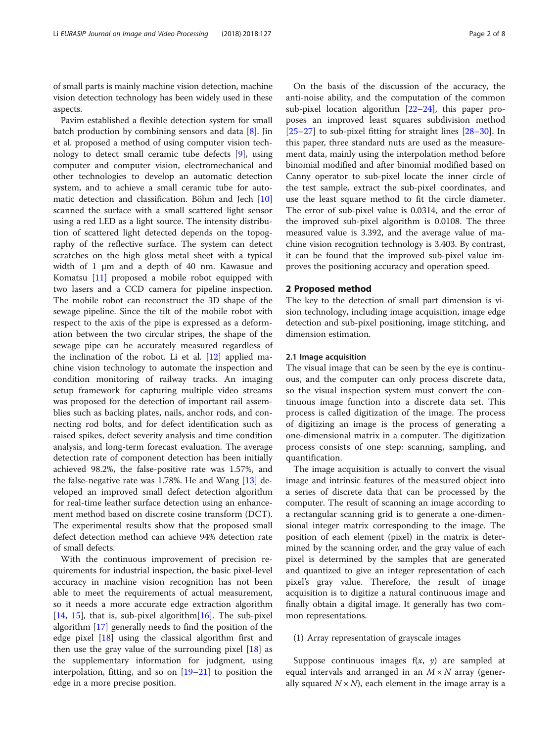of small parts is mainly machine vision detection, machine vision detection technology has been widely used in these aspects.

Pavim established a flexible detection system for small batch production by combining sensors and data [[8\]](#page-7-0). Jin et al. proposed a method of using computer vision technology to detect small ceramic tube defects [[9\]](#page-7-0), using computer and computer vision, electromechanical and other technologies to develop an automatic detection system, and to achieve a small ceramic tube for automatic detection and classification. Böhm and Jech [[10](#page-7-0)] scanned the surface with a small scattered light sensor using a red LED as a light source. The intensity distribution of scattered light detected depends on the topography of the reflective surface. The system can detect scratches on the high gloss metal sheet with a typical width of 1 μm and a depth of 40 nm. Kawasue and Komatsu [\[11](#page-7-0)] proposed a mobile robot equipped with two lasers and a CCD camera for pipeline inspection. The mobile robot can reconstruct the 3D shape of the sewage pipeline. Since the tilt of the mobile robot with respect to the axis of the pipe is expressed as a deformation between the two circular stripes, the shape of the sewage pipe can be accurately measured regardless of the inclination of the robot. Li et al. [[12\]](#page-7-0) applied machine vision technology to automate the inspection and condition monitoring of railway tracks. An imaging setup framework for capturing multiple video streams was proposed for the detection of important rail assemblies such as backing plates, nails, anchor rods, and connecting rod bolts, and for defect identification such as raised spikes, defect severity analysis and time condition analysis, and long-term forecast evaluation. The average detection rate of component detection has been initially achieved 98.2%, the false-positive rate was 1.57%, and the false-negative rate was 1.78%. He and Wang [\[13](#page-7-0)] developed an improved small defect detection algorithm for real-time leather surface detection using an enhancement method based on discrete cosine transform (DCT). The experimental results show that the proposed small defect detection method can achieve 94% detection rate of small defects.

With the continuous improvement of precision requirements for industrial inspection, the basic pixel-level accuracy in machine vision recognition has not been able to meet the requirements of actual measurement, so it needs a more accurate edge extraction algorithm [[14,](#page-7-0) [15\]](#page-7-0), that is, sub-pixel algorithm  $[16]$  $[16]$ . The sub-pixel algorithm [[17](#page-7-0)] generally needs to find the position of the edge pixel [\[18](#page-7-0)] using the classical algorithm first and then use the gray value of the surrounding pixel  $[18]$  $[18]$  as the supplementary information for judgment, using interpolation, fitting, and so on [[19](#page-7-0)–[21](#page-7-0)] to position the edge in a more precise position.

On the basis of the discussion of the accuracy, the anti-noise ability, and the computation of the common sub-pixel location algorithm  $[22-24]$  $[22-24]$  $[22-24]$  $[22-24]$ , this paper proposes an improved least squares subdivision method [[25](#page-7-0)–[27](#page-7-0)] to sub-pixel fitting for straight lines [\[28](#page-7-0)–[30](#page-7-0)]. In this paper, three standard nuts are used as the measurement data, mainly using the interpolation method before binomial modified and after binomial modified based on Canny operator to sub-pixel locate the inner circle of the test sample, extract the sub-pixel coordinates, and use the least square method to fit the circle diameter. The error of sub-pixel value is 0.0314, and the error of the improved sub-pixel algorithm is 0.0108. The three measured value is 3.392, and the average value of machine vision recognition technology is 3.403. By contrast, it can be found that the improved sub-pixel value improves the positioning accuracy and operation speed.

# 2 Proposed method

The key to the detection of small part dimension is vision technology, including image acquisition, image edge detection and sub-pixel positioning, image stitching, and dimension estimation.

# 2.1 Image acquisition

The visual image that can be seen by the eye is continuous, and the computer can only process discrete data, so the visual inspection system must convert the continuous image function into a discrete data set. This process is called digitization of the image. The process of digitizing an image is the process of generating a one-dimensional matrix in a computer. The digitization process consists of one step: scanning, sampling, and quantification.

The image acquisition is actually to convert the visual image and intrinsic features of the measured object into a series of discrete data that can be processed by the computer. The result of scanning an image according to a rectangular scanning grid is to generate a one-dimensional integer matrix corresponding to the image. The position of each element (pixel) in the matrix is determined by the scanning order, and the gray value of each pixel is determined by the samples that are generated and quantized to give an integer representation of each pixel's gray value. Therefore, the result of image acquisition is to digitize a natural continuous image and finally obtain a digital image. It generally has two common representations.

# (1) Array representation of grayscale images

Suppose continuous images  $f(x, y)$  are sampled at equal intervals and arranged in an  $M \times N$  array (generally squared  $N \times N$ , each element in the image array is a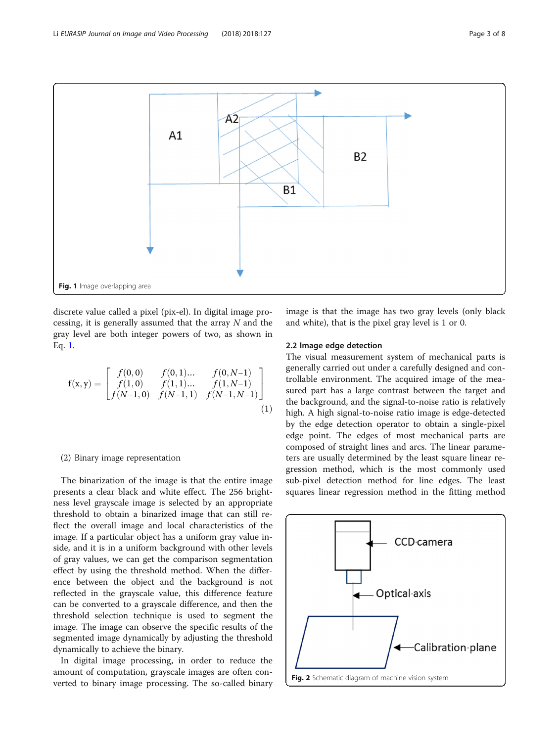<span id="page-2-0"></span>

discrete value called a pixel (pix-el). In digital image processing, it is generally assumed that the array  $N$  and the gray level are both integer powers of two, as shown in Eq. 1.

$$
f(x,y) = \begin{bmatrix} f(0,0) & f(0,1)... & f(0,N-1) \\ f(1,0) & f(1,1)... & f(1,N-1) \\ f(N-1,0) & f(N-1,1) & f(N-1,N-1) \end{bmatrix}
$$
(1)

# (2) Binary image representation

The binarization of the image is that the entire image presents a clear black and white effect. The 256 brightness level grayscale image is selected by an appropriate threshold to obtain a binarized image that can still reflect the overall image and local characteristics of the image. If a particular object has a uniform gray value inside, and it is in a uniform background with other levels of gray values, we can get the comparison segmentation effect by using the threshold method. When the difference between the object and the background is not reflected in the grayscale value, this difference feature can be converted to a grayscale difference, and then the threshold selection technique is used to segment the image. The image can observe the specific results of the segmented image dynamically by adjusting the threshold dynamically to achieve the binary.

In digital image processing, in order to reduce the amount of computation, grayscale images are often converted to binary image processing. The so-called binary image is that the image has two gray levels (only black and white), that is the pixel gray level is 1 or 0.

# 2.2 Image edge detection

The visual measurement system of mechanical parts is generally carried out under a carefully designed and controllable environment. The acquired image of the measured part has a large contrast between the target and the background, and the signal-to-noise ratio is relatively high. A high signal-to-noise ratio image is edge-detected by the edge detection operator to obtain a single-pixel edge point. The edges of most mechanical parts are composed of straight lines and arcs. The linear parameters are usually determined by the least square linear regression method, which is the most commonly used sub-pixel detection method for line edges. The least squares linear regression method in the fitting method

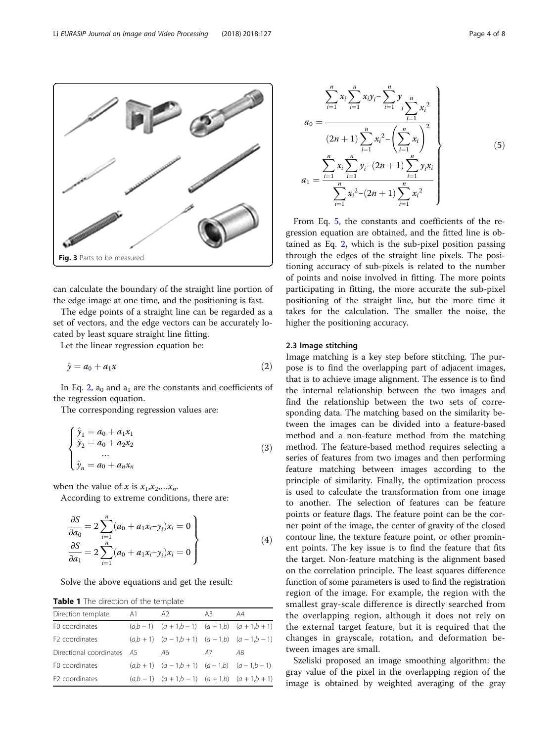can calculate the boundary of the straight line portion of the edge image at one time, and the positioning is fast.

The edge points of a straight line can be regarded as a set of vectors, and the edge vectors can be accurately located by least square straight line fitting.

Let the linear regression equation be:

<span id="page-3-0"></span>Fig. 3 Parts to be measured

$$
\hat{y} = a_0 + a_1 x \tag{2}
$$

In Eq. 2,  $a_0$  and  $a_1$  are the constants and coefficients of the regression equation.

The corresponding regression values are:

$$
\begin{cases}\n\hat{y}_1 = a_0 + a_1 x_1 \\
\hat{y}_2 = a_0 + a_2 x_2 \\
\dots \\
\hat{y}_n = a_0 + a_n x_n\n\end{cases}
$$
\n(3)

when the value of x is  $x_1, x_2, \ldots, x_n$ .

According to extreme conditions, there are:

$$
\frac{\partial S}{\partial a_0} = 2 \sum_{i=1}^n (a_0 + a_1 x_i - y_i) x_i = 0
$$
\n
$$
\frac{\partial S}{\partial a_1} = 2 \sum_{i=1}^n (a_0 + a_1 x_i - y_i) x_i = 0
$$
\n(4)

Solve the above equations and get the result:

Table 1 The direction of the template

| Direction template         | A1 | A2.                                         | A3 | A4 |  |
|----------------------------|----|---------------------------------------------|----|----|--|
| F0 coordinates             |    | $(a,b-1)$ $(a+1,b-1)$ $(a+1,b)$ $(a+1,b+1)$ |    |    |  |
| F <sub>2</sub> coordinates |    | $(a,b+1)$ $(a-1,b+1)$ $(a-1,b)$ $(a-1,b-1)$ |    |    |  |
| Directional coordinates A5 |    | A6.                                         | A7 | A8 |  |
| F0 coordinates             |    | $(a,b+1)$ $(a-1,b+1)$ $(a-1,b)$ $(a-1,b-1)$ |    |    |  |
| F <sub>2</sub> coordinates |    | $(a,b-1)$ $(a+1,b-1)$ $(a+1,b)$ $(a+1,b+1)$ |    |    |  |

$$
a_0 = \frac{\sum_{i=1}^{n} x_i \sum_{i=1}^{n} x_i y_i - \sum_{i=1}^{n} y_i \sum_{i=1}^{n} x_i^2}{(2n+1) \sum_{i=1}^{n} x_i^2 - \left(\sum_{i=1}^{n} x_i\right)^2}
$$
\n
$$
a_1 = \frac{\sum_{i=1}^{n} x_i \sum_{i=1}^{n} y_i - (2n+1) \sum_{i=1}^{n} y_i x_i}{\sum_{i=1}^{n} x_i^2 - (2n+1) \sum_{i=1}^{n} x_i^2}
$$
\nFrom Eq. 5, the constants and coefficients of the re-

 $\frac{n}{\cdot}$ 

gression equation are obtained, and the fitted line is obtained as Eq. 2, which is the sub-pixel position passing through the edges of the straight line pixels. The positioning accuracy of sub-pixels is related to the number of points and noise involved in fitting. The more points participating in fitting, the more accurate the sub-pixel positioning of the straight line, but the more time it takes for the calculation. The smaller the noise, the higher the positioning accuracy.

# 2.3 Image stitching

 $n$ 

Image matching is a key step before stitching. The purpose is to find the overlapping part of adjacent images, that is to achieve image alignment. The essence is to find the internal relationship between the two images and find the relationship between the two sets of corresponding data. The matching based on the similarity between the images can be divided into a feature-based method and a non-feature method from the matching method. The feature-based method requires selecting a series of features from two images and then performing feature matching between images according to the principle of similarity. Finally, the optimization process is used to calculate the transformation from one image to another. The selection of features can be feature points or feature flags. The feature point can be the corner point of the image, the center of gravity of the closed contour line, the texture feature point, or other prominent points. The key issue is to find the feature that fits the target. Non-feature matching is the alignment based on the correlation principle. The least squares difference function of some parameters is used to find the registration region of the image. For example, the region with the smallest gray-scale difference is directly searched from the overlapping region, although it does not rely on the external target feature, but it is required that the changes in grayscale, rotation, and deformation between images are small.

Szeliski proposed an image smoothing algorithm: the gray value of the pixel in the overlapping region of the image is obtained by weighted averaging of the gray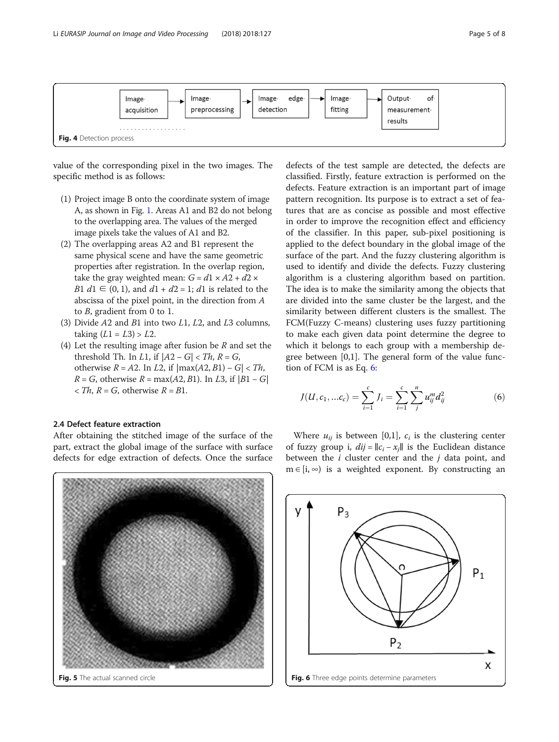<span id="page-4-0"></span>

value of the corresponding pixel in the two images. The specific method is as follows:

- (1) Project image B onto the coordinate system of image A, as shown in Fig. [1](#page-2-0). Areas A1 and B2 do not belong to the overlapping area. The values of the merged image pixels take the values of A1 and B2.
- (2) The overlapping areas A2 and B1 represent the same physical scene and have the same geometric properties after registration. In the overlap region, take the gray weighted mean:  $G = d1 \times A2 + d2 \times$ *B1 d1* ∈ (0, 1), and *d1* + *d2* = 1; *d1* is related to the abscissa of the pixel point, in the direction from A to B, gradient from 0 to 1.
- (3) Divide  $A2$  and  $B1$  into two  $L1$ ,  $L2$ , and  $L3$  columns, taking  $(L1 = L3) > L2$ .
- (4) Let the resulting image after fusion be  $R$  and set the threshold Th. In *L*1, if  $|A2 - G| < Th$ ,  $R = G$ , otherwise  $R = A2$ . In L2, if  $|\max(A2, B1) - G| < Th$ ,  $R = G$ , otherwise  $R = max(A2, B1)$ . In L3, if  $|B1 - G|$  $\langle Th, R = G, \text{ otherwise } R = B1.$

# 2.4 Defect feature extraction

After obtaining the stitched image of the surface of the part, extract the global image of the surface with surface defects for edge extraction of defects. Once the surface



defects of the test sample are detected, the defects are classified. Firstly, feature extraction is performed on the defects. Feature extraction is an important part of image pattern recognition. Its purpose is to extract a set of features that are as concise as possible and most effective in order to improve the recognition effect and efficiency of the classifier. In this paper, sub-pixel positioning is applied to the defect boundary in the global image of the surface of the part. And the fuzzy clustering algorithm is used to identify and divide the defects. Fuzzy clustering algorithm is a clustering algorithm based on partition. The idea is to make the similarity among the objects that are divided into the same cluster be the largest, and the similarity between different clusters is the smallest. The FCM(Fuzzy C-means) clustering uses fuzzy partitioning to make each given data point determine the degree to which it belongs to each group with a membership degree between [0,1]. The general form of the value function of FCM is as Eq. 6:

$$
J(U, c_1, ... c_c) = \sum_{i=1}^{c} J_i = \sum_{i=1}^{c} \sum_{j=1}^{n} u_{ij}^{m} d_{ij}^{2}
$$
 (6)

Where  $u_{ii}$  is between [0,1],  $c_i$  is the clustering center of fuzzy group i,  $di\hat{j} = ||c_i - x_j||$  is the Euclidean distance between the  $i$  cluster center and the  $j$  data point, and  $m \in [i, \infty)$  is a weighted exponent. By constructing an

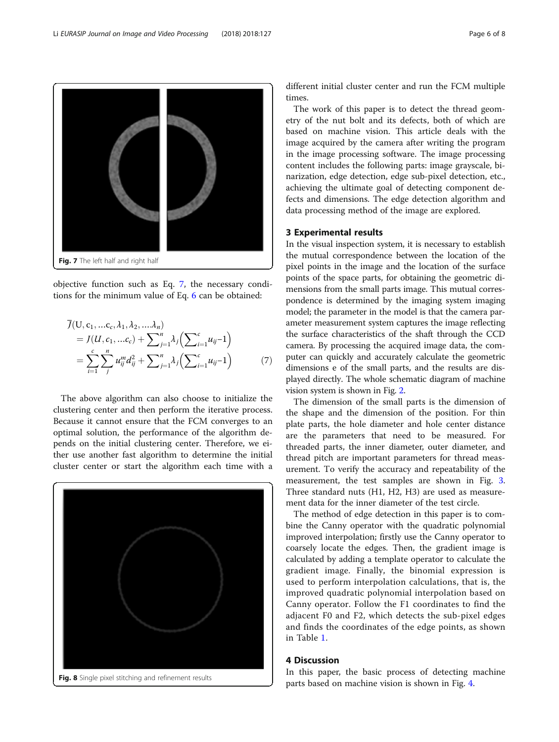<span id="page-5-0"></span>

objective function such as Eq. 7, the necessary conditions for the minimum value of Eq. [6](#page-4-0) can be obtained:

$$
\overline{J}(U, c_1, ...c_c, \lambda_1, \lambda_2, ... \lambda_n) \n= J(U, c_1, ...c_c) + \sum_{j=1}^n \lambda_j \left( \sum_{i=1}^c u_{ij} - 1 \right) \n= \sum_{i=1}^c \sum_j^n u_{ij}^m d_{ij}^2 + \sum_{j=1}^n \lambda_j \left( \sum_{i=1}^c u_{ij} - 1 \right)
$$
\n(7)

The above algorithm can also choose to initialize the clustering center and then perform the iterative process. Because it cannot ensure that the FCM converges to an optimal solution, the performance of the algorithm depends on the initial clustering center. Therefore, we either use another fast algorithm to determine the initial cluster center or start the algorithm each time with a



different initial cluster center and run the FCM multiple times.

The work of this paper is to detect the thread geometry of the nut bolt and its defects, both of which are based on machine vision. This article deals with the image acquired by the camera after writing the program in the image processing software. The image processing content includes the following parts: image grayscale, binarization, edge detection, edge sub-pixel detection, etc., achieving the ultimate goal of detecting component defects and dimensions. The edge detection algorithm and data processing method of the image are explored.

# 3 Experimental results

In the visual inspection system, it is necessary to establish the mutual correspondence between the location of the pixel points in the image and the location of the surface points of the space parts, for obtaining the geometric dimensions from the small parts image. This mutual correspondence is determined by the imaging system imaging model; the parameter in the model is that the camera parameter measurement system captures the image reflecting the surface characteristics of the shaft through the CCD camera. By processing the acquired image data, the computer can quickly and accurately calculate the geometric dimensions e of the small parts, and the results are displayed directly. The whole schematic diagram of machine vision system is shown in Fig. [2](#page-2-0).

The dimension of the small parts is the dimension of the shape and the dimension of the position. For thin plate parts, the hole diameter and hole center distance are the parameters that need to be measured. For threaded parts, the inner diameter, outer diameter, and thread pitch are important parameters for thread measurement. To verify the accuracy and repeatability of the measurement, the test samples are shown in Fig. [3](#page-3-0). Three standard nuts (H1, H2, H3) are used as measurement data for the inner diameter of the test circle.

The method of edge detection in this paper is to combine the Canny operator with the quadratic polynomial improved interpolation; firstly use the Canny operator to coarsely locate the edges. Then, the gradient image is calculated by adding a template operator to calculate the gradient image. Finally, the binomial expression is used to perform interpolation calculations, that is, the improved quadratic polynomial interpolation based on Canny operator. Follow the F1 coordinates to find the adjacent F0 and F2, which detects the sub-pixel edges and finds the coordinates of the edge points, as shown in Table [1](#page-3-0).

# 4 Discussion

In this paper, the basic process of detecting machine parts based on machine vision is shown in Fig. [4.](#page-4-0)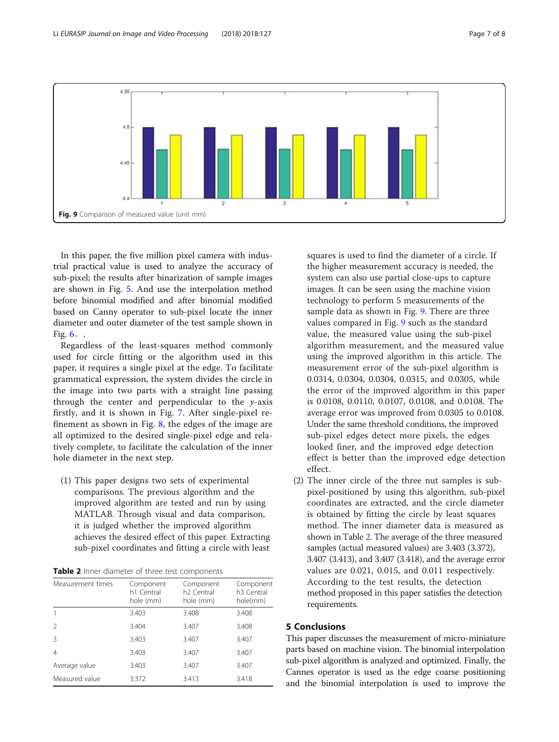

In this paper, the five million pixel camera with industrial practical value is used to analyze the accuracy of sub-pixel; the results after binarization of sample images are shown in Fig. [5.](#page-4-0) And use the interpolation method before binomial modified and after binomial modified based on Canny operator to sub-pixel locate the inner diameter and outer diameter of the test sample shown in Fig.  $6<sub>o</sub>$  $6<sub>o</sub>$ .

Regardless of the least-squares method commonly used for circle fitting or the algorithm used in this paper, it requires a single pixel at the edge. To facilitate grammatical expression, the system divides the circle in the image into two parts with a straight line passing through the center and perpendicular to the  $y$ -axis firstly, and it is shown in Fig. [7.](#page-5-0) After single-pixel refinement as shown in Fig. [8,](#page-5-0) the edges of the image are all optimized to the desired single-pixel edge and relatively complete, to facilitate the calculation of the inner hole diameter in the next step.

(1) This paper designs two sets of experimental comparisons. The previous algorithm and the improved algorithm are tested and run by using MATLAB. Through visual and data comparison, it is judged whether the improved algorithm achieves the desired effect of this paper. Extracting sub-pixel coordinates and fitting a circle with least

Table 2 Inner diameter of three test components

| Measurement times | Component<br>h1 Central<br>hole (mm) | Component<br>h <sub>2</sub> Central<br>hole (mm) | Component<br>h <sub>3</sub> Central<br>hole(mm) |
|-------------------|--------------------------------------|--------------------------------------------------|-------------------------------------------------|
|                   | 3.403                                | 3.408                                            | 3.408                                           |
|                   | 3.404                                | 3.407                                            | 3.408                                           |
| Β                 | 3.403                                | 3.407                                            | 3.407                                           |
| 4                 | 3.403                                | 3.407                                            | 3.407                                           |
| Average value     | 3.403                                | 3.407                                            | 3.407                                           |
| Measured value    | 3.372                                | 3.413                                            | 3.418                                           |

squares is used to find the diameter of a circle. If the higher measurement accuracy is needed, the system can also use partial close-ups to capture images. It can be seen using the machine vision technology to perform 5 measurements of the sample data as shown in Fig. 9. There are three values compared in Fig. 9 such as the standard value, the measured value using the sub-pixel algorithm measurement, and the measured value using the improved algorithm in this article. The measurement error of the sub-pixel algorithm is 0.0314, 0.0304, 0.0304, 0.0315, and 0.0305, while the error of the improved algorithm in this paper is 0.0108, 0.0110, 0.0107, 0.0108, and 0.0108. The average error was improved from 0.0305 to 0.0108. Under the same threshold conditions, the improved sub-pixel edges detect more pixels, the edges looked finer, and the improved edge detection effect is better than the improved edge detection effect.

(2) The inner circle of the three nut samples is subpixel-positioned by using this algorithm, sub-pixel coordinates are extracted, and the circle diameter is obtained by fitting the circle by least squares method. The inner diameter data is measured as shown in Table 2. The average of the three measured samples (actual measured values) are 3.403 (3.372), 3.407 (3.413), and 3.407 (3.418), and the average error values are 0.021, 0.015, and 0.011 respectively. According to the test results, the detection method proposed in this paper satisfies the detection requirements.

# 5 Conclusions

This paper discusses the measurement of micro-miniature parts based on machine vision. The binomial interpolation sub-pixel algorithm is analyzed and optimized. Finally, the Cannes operator is used as the edge coarse positioning and the binomial interpolation is used to improve the